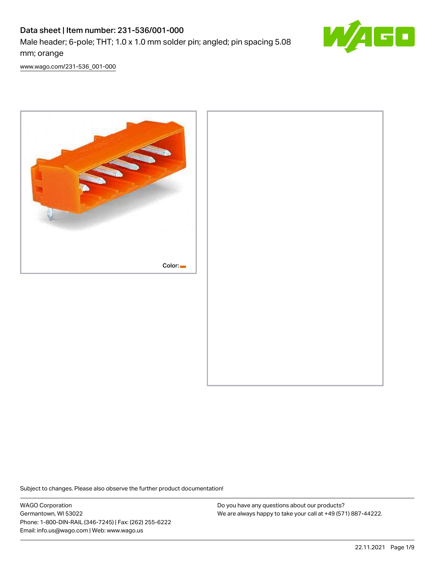# Data sheet | Item number: 231-536/001-000 Male header; 6-pole; THT; 1.0 x 1.0 mm solder pin; angled; pin spacing 5.08



[www.wago.com/231-536\\_001-000](http://www.wago.com/231-536_001-000)

mm; orange



Subject to changes. Please also observe the further product documentation!

WAGO Corporation Germantown, WI 53022 Phone: 1-800-DIN-RAIL (346-7245) | Fax: (262) 255-6222 Email: info.us@wago.com | Web: www.wago.us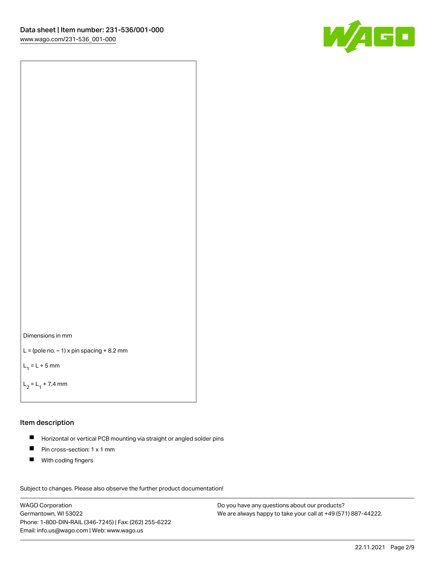



```
L = (pole no. -1) x pin spacing +8.2 mm
```
 $L_1 = L + 5$  mm

```
L_2 = L_1 + 7.4 mm
```
### Item description

- Horizontal or vertical PCB mounting via straight or angled solder pins  $\blacksquare$
- $\blacksquare$ Pin cross-section: 1 x 1 mm
- $\blacksquare$ With coding fingers

Subject to changes. Please also observe the further product documentation! Data

WAGO Corporation Germantown, WI 53022 Phone: 1-800-DIN-RAIL (346-7245) | Fax: (262) 255-6222 Email: info.us@wago.com | Web: www.wago.us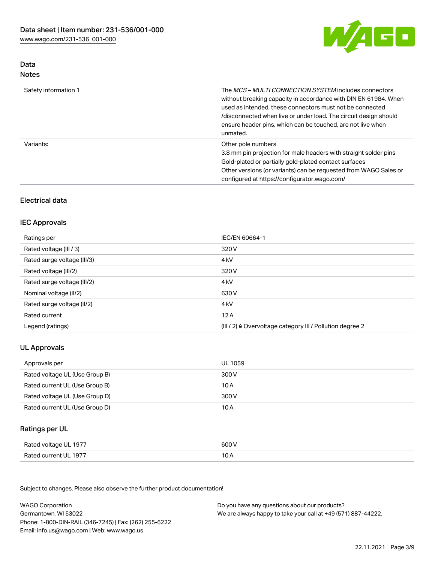

## Data Notes

| Safety information 1 | The <i>MCS – MULTI CONNECTION SYSTEM</i> includes connectors<br>without breaking capacity in accordance with DIN EN 61984. When<br>used as intended, these connectors must not be connected<br>/disconnected when live or under load. The circuit design should<br>ensure header pins, which can be touched, are not live when<br>unmated. |
|----------------------|--------------------------------------------------------------------------------------------------------------------------------------------------------------------------------------------------------------------------------------------------------------------------------------------------------------------------------------------|
| Variants:            | Other pole numbers<br>3.8 mm pin projection for male headers with straight solder pins<br>Gold-plated or partially gold-plated contact surfaces<br>Other versions (or variants) can be requested from WAGO Sales or<br>configured at https://configurator.wago.com/                                                                        |

# Electrical data

# IEC Approvals

| Ratings per                 | IEC/EN 60664-1                                                        |
|-----------------------------|-----------------------------------------------------------------------|
| Rated voltage (III / 3)     | 320 V                                                                 |
| Rated surge voltage (III/3) | 4 <sub>kV</sub>                                                       |
| Rated voltage (III/2)       | 320 V                                                                 |
| Rated surge voltage (III/2) | 4 <sub>kV</sub>                                                       |
| Nominal voltage (II/2)      | 630 V                                                                 |
| Rated surge voltage (II/2)  | 4 <sub>k</sub> V                                                      |
| Rated current               | 12A                                                                   |
| Legend (ratings)            | $(III / 2)$ $\triangle$ Overvoltage category III / Pollution degree 2 |

# UL Approvals

| Approvals per                  | UL 1059 |
|--------------------------------|---------|
| Rated voltage UL (Use Group B) | 300 V   |
| Rated current UL (Use Group B) | 10 A    |
| Rated voltage UL (Use Group D) | 300 V   |
| Rated current UL (Use Group D) | 10 A    |

## Ratings per UL

| Rated voltage UL 1977 | 600 V |
|-----------------------|-------|
| Rated current UL 1977 |       |

| <b>WAGO Corporation</b>                                | Do you have any questions about our products?                 |
|--------------------------------------------------------|---------------------------------------------------------------|
| Germantown, WI 53022                                   | We are always happy to take your call at +49 (571) 887-44222. |
| Phone: 1-800-DIN-RAIL (346-7245)   Fax: (262) 255-6222 |                                                               |
| Email: info.us@wago.com   Web: www.wago.us             |                                                               |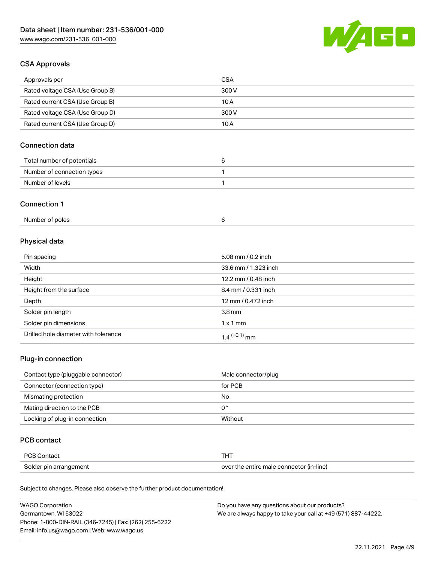

# CSA Approvals

| Approvals per                   | CSA   |
|---------------------------------|-------|
| Rated voltage CSA (Use Group B) | 300 V |
| Rated current CSA (Use Group B) | 10 A  |
| Rated voltage CSA (Use Group D) | 300 V |
| Rated current CSA (Use Group D) | 10 A  |

# Connection data

| Total number of potentials |  |
|----------------------------|--|
| Number of connection types |  |
| Number of levels           |  |

#### Connection 1

| Number of poles |  |
|-----------------|--|
|                 |  |

# Physical data

| Pin spacing                          | 5.08 mm / 0.2 inch         |
|--------------------------------------|----------------------------|
| Width                                | 33.6 mm / 1.323 inch       |
| Height                               | 12.2 mm / 0.48 inch        |
| Height from the surface              | 8.4 mm / 0.331 inch        |
| Depth                                | 12 mm / 0.472 inch         |
| Solder pin length                    | 3.8 <sub>mm</sub>          |
| Solder pin dimensions                | $1 \times 1$ mm            |
| Drilled hole diameter with tolerance | $1.4$ <sup>(+0.1)</sup> mm |

# Plug-in connection

| Contact type (pluggable connector) | Male connector/plug |
|------------------------------------|---------------------|
| Connector (connection type)        | for PCB             |
| Mismating protection               | No                  |
| Mating direction to the PCB        | 0°                  |
| Locking of plug-in connection      | Without             |

## PCB contact

| PCB Contact            |                                          |
|------------------------|------------------------------------------|
| Solder pin arrangement | over the entire male connector (in-line) |

| <b>WAGO Corporation</b>                                | Do you have any questions about our products?                 |
|--------------------------------------------------------|---------------------------------------------------------------|
| Germantown, WI 53022                                   | We are always happy to take your call at +49 (571) 887-44222. |
| Phone: 1-800-DIN-RAIL (346-7245)   Fax: (262) 255-6222 |                                                               |
| Email: info.us@wago.com   Web: www.wago.us             |                                                               |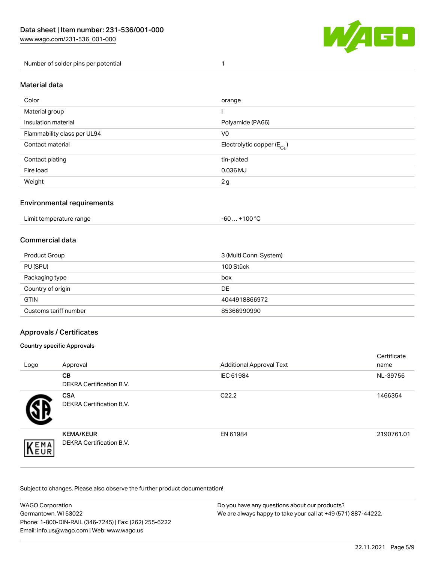

Number of solder pins per potential 1

#### Material data

| Color                       | orange                                 |
|-----------------------------|----------------------------------------|
| Material group              |                                        |
| Insulation material         | Polyamide (PA66)                       |
| Flammability class per UL94 | V <sub>0</sub>                         |
| Contact material            | Electrolytic copper (E <sub>Cu</sub> ) |
| Contact plating             | tin-plated                             |
| Fire load                   | 0.036 MJ                               |
| Weight                      | 2g                                     |

## Environmental requirements

Limit temperature range  $-60... +100$  °C

## Commercial data

| Product Group         | 3 (Multi Conn. System) |
|-----------------------|------------------------|
| PU (SPU)              | 100 Stück              |
| Packaging type        | box                    |
| Country of origin     | DE                     |
| <b>GTIN</b>           | 4044918866972          |
| Customs tariff number | 85366990990            |

## Approvals / Certificates

#### Country specific Approvals

| Logo               | Approval                                            | <b>Additional Approval Text</b> | Certificate<br>name |
|--------------------|-----------------------------------------------------|---------------------------------|---------------------|
|                    | <b>CB</b><br><b>DEKRA Certification B.V.</b>        | IEC 61984                       | NL-39756            |
|                    | <b>CSA</b><br>DEKRA Certification B.V.              | C <sub>22.2</sub>               | 1466354             |
| EMA<br><b>NEUR</b> | <b>KEMA/KEUR</b><br><b>DEKRA Certification B.V.</b> | EN 61984                        | 2190761.01          |

| <b>WAGO Corporation</b>                                | Do you have any questions about our products?                 |
|--------------------------------------------------------|---------------------------------------------------------------|
| Germantown, WI 53022                                   | We are always happy to take your call at +49 (571) 887-44222. |
| Phone: 1-800-DIN-RAIL (346-7245)   Fax: (262) 255-6222 |                                                               |
| Email: info.us@wago.com   Web: www.wago.us             |                                                               |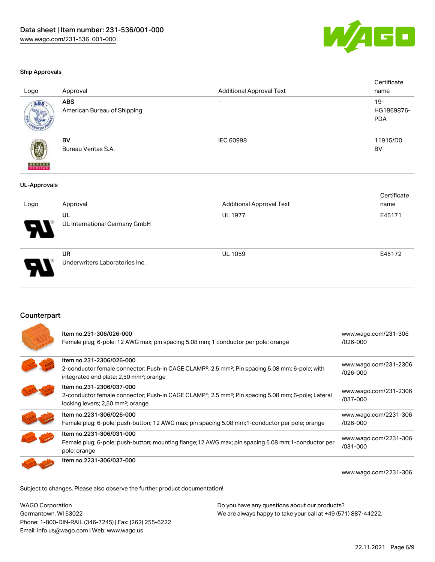

#### Ship Approvals

| Logo                     | Approval                                  | <b>Additional Approval Text</b> | Certificate<br>name                |
|--------------------------|-------------------------------------------|---------------------------------|------------------------------------|
| ABS.                     | <b>ABS</b><br>American Bureau of Shipping | $\overline{\phantom{a}}$        | $19 -$<br>HG1869876-<br><b>PDA</b> |
| <b>BUREAU</b><br>VERITAS | BV<br>Bureau Veritas S.A.                 | <b>IEC 60998</b>                | 11915/D0<br>BV                     |
| <b>UL-Approvals</b>      |                                           |                                 |                                    |
|                          |                                           |                                 | Certificate                        |
| Logo                     | Approval                                  | <b>Additional Approval Text</b> | name                               |
|                          | UL<br>UL International Germany GmbH       | <b>UL 1977</b>                  | E45171                             |
|                          | UR<br>Underwriters Laboratories Inc.      | UL 1059                         | E45172                             |

### Counterpart

| Item no.231-306/026-000<br>Female plug; 6-pole; 12 AWG max; pin spacing 5.08 mm; 1 conductor per pole; orange                                                                                 | www.wago.com/231-306<br>/026-000      |
|-----------------------------------------------------------------------------------------------------------------------------------------------------------------------------------------------|---------------------------------------|
| Item no.231-2306/026-000<br>2-conductor female connector; Push-in CAGE CLAMP®; 2.5 mm <sup>2</sup> ; Pin spacing 5.08 mm; 6-pole; with<br>integrated end plate; 2,50 mm <sup>2</sup> ; orange | www.wago.com/231-2306<br>/026-000     |
| Item no.231-2306/037-000<br>2-conductor female connector; Push-in CAGE CLAMP®; 2.5 mm <sup>2</sup> ; Pin spacing 5.08 mm; 6-pole; Lateral<br>locking levers; 2,50 mm <sup>2</sup> ; orange    | www.wago.com/231-2306<br>/037-000     |
| Item no.2231-306/026-000<br>Female plug; 6-pole; push-button; 12 AWG max; pin spacing 5.08 mm; 1-conductor per pole; orange                                                                   | www.wago.com/2231-306<br>/026-000     |
| Item no.2231-306/031-000<br>Female plug; 6-pole; push-button; mounting flange; 12 AWG max; pin spacing 5.08 mm; 1-conductor per<br>pole; orange                                               | www.wago.com/2231-306<br>$/031 - 000$ |
| Item no.2231-306/037-000                                                                                                                                                                      | www.wago.com/2231-306                 |

Subject to changes. Please also observe the further product documentation!

WAGO Corporation Germantown, WI 53022 Phone: 1-800-DIN-RAIL (346-7245) | Fax: (262) 255-6222 Email: info.us@wago.com | Web: www.wago.us Do you have any questions about our products? We are always happy to take your call at +49 (571) 887-44222.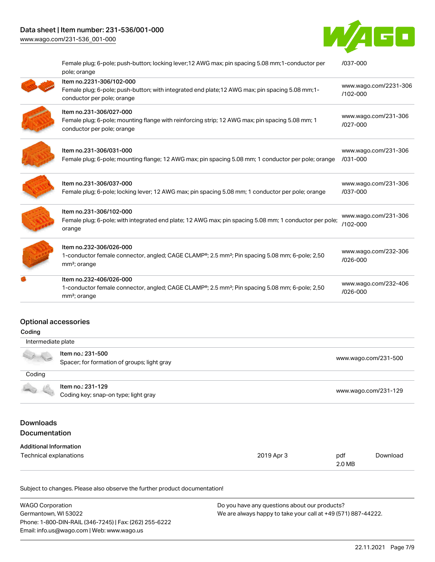# Data sheet | Item number: 231-536/001-000

[www.wago.com/231-536\\_001-000](http://www.wago.com/231-536_001-000)



[/037-000](https://www.wago.com/2231-306/037-000)

| Female plug; 6-pole; push-button; locking lever; 12 AWG max; pin spacing 5.08 mm; 1-conductor per<br>pole; orange                                                 | /037-000                             |
|-------------------------------------------------------------------------------------------------------------------------------------------------------------------|--------------------------------------|
| Item no.2231-306/102-000<br>Female plug; 6-pole; push-button; with integrated end plate; 12 AWG max; pin spacing 5.08 mm; 1-<br>conductor per pole; orange        | www.wago.com/2231-306<br>/102-000    |
| Item no.231-306/027-000<br>Female plug; 6-pole; mounting flange with reinforcing strip; 12 AWG max; pin spacing 5.08 mm; 1<br>conductor per pole; orange          | www.wago.com/231-306<br>/027-000     |
| Item no.231-306/031-000<br>Female plug; 6-pole; mounting flange; 12 AWG max; pin spacing 5.08 mm; 1 conductor per pole; orange                                    | www.wago.com/231-306<br>/031-000     |
| Item no.231-306/037-000<br>Female plug; 6-pole; locking lever; 12 AWG max; pin spacing 5.08 mm; 1 conductor per pole; orange                                      | www.wago.com/231-306<br>/037-000     |
| Item no.231-306/102-000<br>Female plug; 6-pole; with integrated end plate; 12 AWG max; pin spacing 5.08 mm; 1 conductor per pole;<br>orange                       | www.wago.com/231-306<br>$/102 - 000$ |
| Item no.232-306/026-000<br>1-conductor female connector, angled; CAGE CLAMP®; 2.5 mm <sup>2</sup> ; Pin spacing 5.08 mm; 6-pole; 2,50<br>mm <sup>2</sup> ; orange | www.wago.com/232-306<br>/026-000     |
| Item no.232-406/026-000<br>1-conductor female connector, angled; CAGE CLAMP®; 2.5 mm <sup>2</sup> ; Pin spacing 5.08 mm; 6-pole; 2,50<br>mm <sup>2</sup> ; orange | www.wago.com/232-406<br>/026-000     |
|                                                                                                                                                                   |                                      |

## Optional accessories

| Coding                                   |                                                                  |            |               |                      |  |
|------------------------------------------|------------------------------------------------------------------|------------|---------------|----------------------|--|
|                                          | Intermediate plate                                               |            |               |                      |  |
|                                          | Item no.: 231-500<br>Spacer; for formation of groups; light gray |            |               | www.wago.com/231-500 |  |
| Coding                                   |                                                                  |            |               |                      |  |
|                                          | Item no.: 231-129<br>Coding key; snap-on type; light gray        |            |               | www.wago.com/231-129 |  |
| <b>Downloads</b><br><b>Documentation</b> |                                                                  |            |               |                      |  |
| <b>Additional Information</b>            |                                                                  |            |               |                      |  |
| Technical explanations                   |                                                                  | 2019 Apr 3 | pdf<br>2.0 MB | Download             |  |

| <b>WAGO Corporation</b>                                | Do you have any questions about our products?                 |
|--------------------------------------------------------|---------------------------------------------------------------|
| Germantown, WI 53022                                   | We are always happy to take your call at +49 (571) 887-44222. |
| Phone: 1-800-DIN-RAIL (346-7245)   Fax: (262) 255-6222 |                                                               |
| Email: info.us@wago.com   Web: www.wago.us             |                                                               |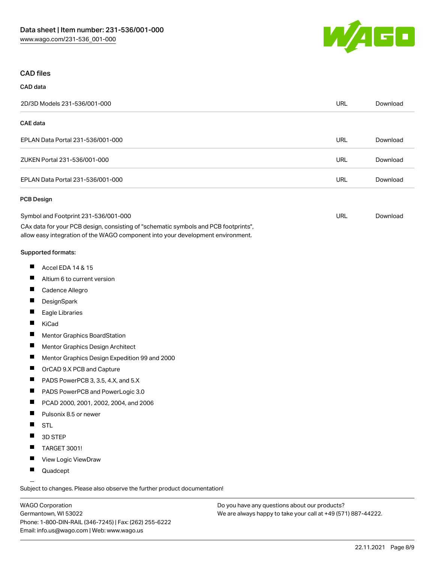

#### CAD files

| CAD data                                                                                                                                                                                                       |            |          |
|----------------------------------------------------------------------------------------------------------------------------------------------------------------------------------------------------------------|------------|----------|
| 2D/3D Models 231-536/001-000                                                                                                                                                                                   | <b>URL</b> | Download |
| <b>CAE</b> data                                                                                                                                                                                                |            |          |
| EPLAN Data Portal 231-536/001-000                                                                                                                                                                              | <b>URL</b> | Download |
| ZUKEN Portal 231-536/001-000                                                                                                                                                                                   | <b>URL</b> | Download |
| EPLAN Data Portal 231-536/001-000                                                                                                                                                                              | <b>URL</b> | Download |
| <b>PCB Design</b>                                                                                                                                                                                              |            |          |
| Symbol and Footprint 231-536/001-000<br>CAx data for your PCB design, consisting of "schematic symbols and PCB footprints",<br>allow easy integration of the WAGO component into your development environment. | <b>URL</b> | Download |
| Supported formats:                                                                                                                                                                                             |            |          |
| ш<br>Accel EDA 14 & 15                                                                                                                                                                                         |            |          |
| L<br>Altium 6 to current version                                                                                                                                                                               |            |          |
| ш<br>Cadence Allegro                                                                                                                                                                                           |            |          |
| ш<br>DesignSpark                                                                                                                                                                                               |            |          |
| H.<br>Eagle Libraries                                                                                                                                                                                          |            |          |
| Ш<br>KiCad                                                                                                                                                                                                     |            |          |
| ш<br>Mentor Graphics BoardStation                                                                                                                                                                              |            |          |
| П<br>Mentor Graphics Design Architect                                                                                                                                                                          |            |          |
| ш<br>Mentor Graphics Design Expedition 99 and 2000                                                                                                                                                             |            |          |
| ш<br>OrCAD 9.X PCB and Capture                                                                                                                                                                                 |            |          |
| ш<br>PADS PowerPCB 3, 3.5, 4.X, and 5.X                                                                                                                                                                        |            |          |
| ш<br>PADS PowerPCB and PowerLogic 3.0                                                                                                                                                                          |            |          |
| Ш<br>PCAD 2000, 2001, 2002, 2004, and 2006                                                                                                                                                                     |            |          |
| Pulsonix 8.5 or newer                                                                                                                                                                                          |            |          |
| <b>STL</b>                                                                                                                                                                                                     |            |          |
| 3D STEP                                                                                                                                                                                                        |            |          |
| ш<br>TARGET 3001!                                                                                                                                                                                              |            |          |

- П View Logic ViewDraw
- $\blacksquare$ Quadcept

.<br>Subject to changes. Please also observe the further product documentation!

WAGO Corporation Germantown, WI 53022 Phone: 1-800-DIN-RAIL (346-7245) | Fax: (262) 255-6222 Email: info.us@wago.com | Web: www.wago.us